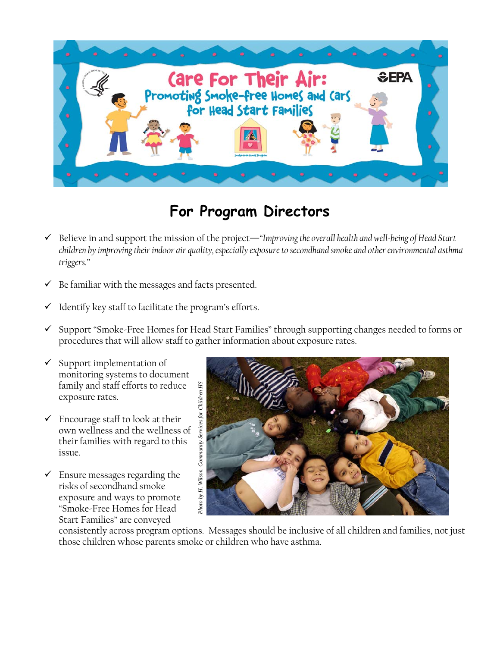

## **For Program Directors**

- 9 Believe in and support the mission of the project—*"Improving the overall health and well-being of Head Start children by improving their indoor air quality, especially exposure to secondhand smoke and other environmental asthma triggers."*
- $\checkmark$  Be familiar with the messages and facts presented.
- $\checkmark$  Identify key staff to facilitate the program's efforts.
- $\checkmark$  Support "Smoke-Free Homes for Head Start Families" through supporting changes needed to forms or procedures that will allow staff to gather information about exposure rates.
- $\checkmark$  Support implementation of monitoring systems to document family and staff efforts to reduce exposure rates.
- $\checkmark$  Encourage staff to look at their own wellness and the wellness of their families with regard to this issue.
- $\checkmark$  Ensure messages regarding the risks of secondhand smoke exposure and ways to promote "Smoke-Free Homes for Head Start Families" are conveyed



consistently across program options. Messages should be inclusive of all children and families, not just